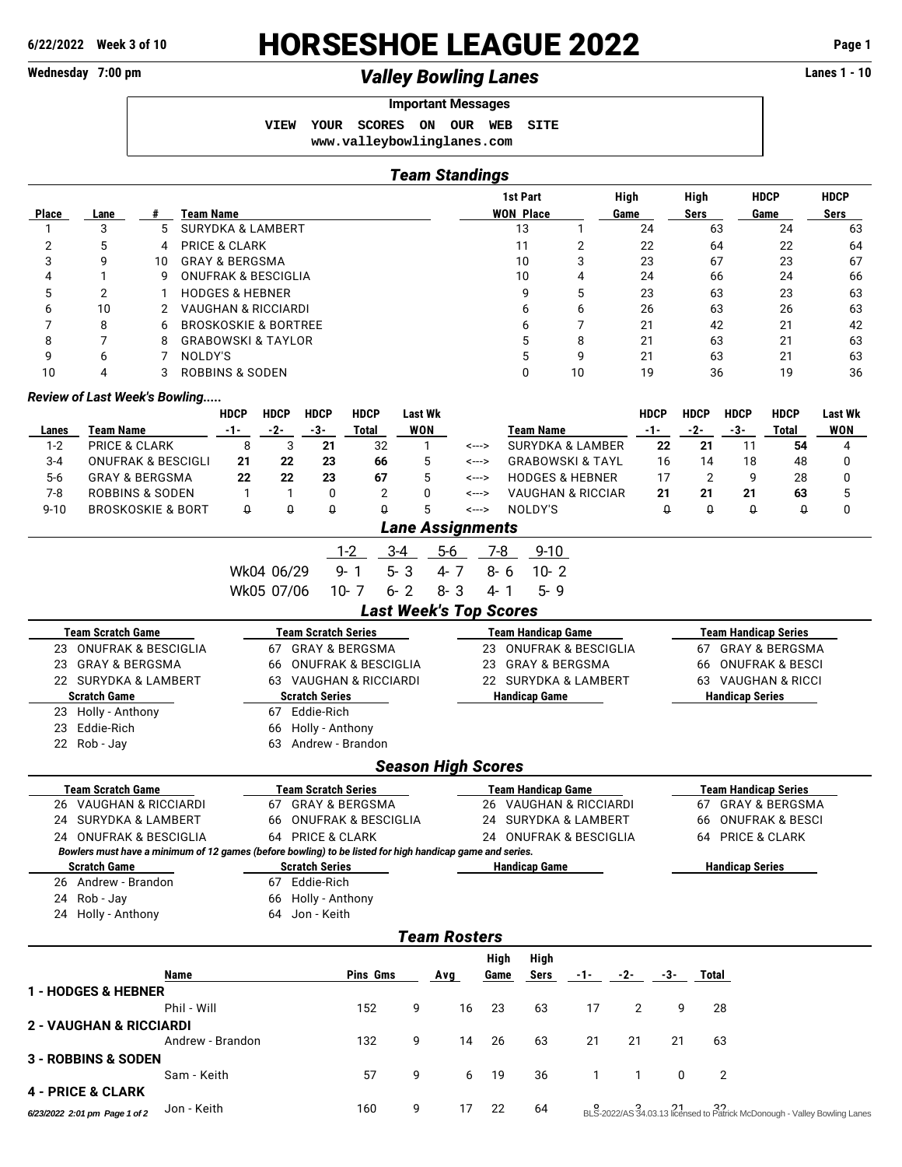**2 - VAUGHAN & RICCIARDI**

**3 - ROBBINS & SODEN**

**4 - PRICE & CLARK**

# **6/22/2022 Week 3 of 10** HORSESHOE LEAGUE 2022 **Page 1**

## Wednesday 7:00 pm *Valley Bowling Lanes* **Lanes 1 - 10**

### **Important Messages**

 **VIEW YOUR SCORES ON OUR WEB SITE <www.valleybowlinglanes.com>**

| $\sim$ | Chamainan |  |
|--------|-----------|--|

|                |                                                                                                          |    |                  |                            |                                 |                            |                                |                | <b>Team Standings</b>         |                                 |         |                           |                                |            |                    |                |                        |                             |                |
|----------------|----------------------------------------------------------------------------------------------------------|----|------------------|----------------------------|---------------------------------|----------------------------|--------------------------------|----------------|-------------------------------|---------------------------------|---------|---------------------------|--------------------------------|------------|--------------------|----------------|------------------------|-----------------------------|----------------|
|                |                                                                                                          |    |                  |                            |                                 |                            | 1st Part                       |                |                               |                                 | High    |                           | High                           |            | <b>HDCP</b>        | <b>HDCP</b>    |                        |                             |                |
| <b>Place</b>   | Lane                                                                                                     | #  | <b>Team Name</b> |                            |                                 |                            |                                |                |                               |                                 |         | <b>WON Place</b>          |                                | Game       |                    | <b>Sers</b>    |                        | Game                        | Sers           |
| 1              | 3                                                                                                        | 5  |                  |                            | <b>SURYDKA &amp; LAMBERT</b>    |                            |                                |                |                               |                                 | 13      |                           | 1                              | 24         |                    | 63             |                        | 24                          | 63             |
| $\overline{2}$ | 5                                                                                                        | 4  |                  | <b>PRICE &amp; CLARK</b>   |                                 |                            |                                |                |                               |                                 | 11      |                           | $\overline{2}$                 | 22         |                    | 64             |                        | 22                          | 64             |
| 3              | 9                                                                                                        | 10 |                  | <b>GRAY &amp; BERGSMA</b>  |                                 |                            |                                |                |                               |                                 | 10      |                           | 3                              | 23         |                    | 67             |                        | 23                          | 67             |
| 4              | 1                                                                                                        | 9  |                  |                            | <b>ONUFRAK &amp; BESCIGLIA</b>  |                            |                                |                |                               |                                 | 10      |                           | 4                              | 24         |                    | 66             |                        | 24                          | 66             |
| 5              | 2                                                                                                        | 1  |                  | <b>HODGES &amp; HEBNER</b> |                                 |                            |                                |                |                               |                                 |         | 9                         | 5                              | 23         |                    | 63             |                        | 23                          | 63             |
| 6              | 10                                                                                                       | 2  |                  |                            | <b>VAUGHAN &amp; RICCIARDI</b>  |                            |                                |                |                               |                                 |         | 6                         | 6                              | 26         |                    | 63             |                        | 26                          | 63             |
| 7              | 8                                                                                                        | 6  |                  |                            | <b>BROSKOSKIE &amp; BORTREE</b> |                            |                                |                |                               |                                 |         | 6                         | $\overline{7}$                 | 21         |                    | 42             |                        | 21                          | 42             |
| 8              | 7                                                                                                        | 8  |                  |                            | <b>GRABOWSKI &amp; TAYLOR</b>   |                            |                                |                |                               |                                 |         | 5                         | 8                              | 21         |                    | 63             |                        | 21                          | 63             |
| 9              | 6                                                                                                        | 7  | NOLDY'S          |                            |                                 |                            |                                |                |                               |                                 |         | 5                         | 9                              | 21         |                    | 63             |                        | 21                          | 63             |
| 10             | 4                                                                                                        | 3  |                  | <b>ROBBINS &amp; SODEN</b> |                                 |                            |                                |                |                               |                                 |         | $\Omega$                  | 10                             | 19         |                    | 36             |                        | 19                          | 36             |
|                | <b>Review of Last Week's Bowling</b>                                                                     |    |                  |                            |                                 |                            |                                |                |                               |                                 |         |                           |                                |            |                    |                |                        |                             |                |
|                |                                                                                                          |    |                  | <b>HDCP</b>                | <b>HDCP</b>                     | <b>HDCP</b>                | <b>HDCP</b>                    | <b>Last Wk</b> |                               |                                 |         |                           |                                |            | <b>HDCP</b>        | <b>HDCP</b>    | <b>HDCP</b>            | <b>HDCP</b>                 | <b>Last Wk</b> |
| Lanes          | <b>Team Name</b>                                                                                         |    |                  | $-1-$                      | $-2-$                           | -3-                        | Total                          | <b>WON</b>     |                               |                                 |         | <b>Team Name</b>          |                                |            | $-1-$              | $-2-$          | $-3-$                  | Total                       | <b>WON</b>     |
| $1 - 2$        | <b>PRICE &amp; CLARK</b>                                                                                 |    |                  | 8                          | 3                               | 21                         | 32                             | 1              |                               | <--->                           |         |                           | <b>SURYDKA &amp; LAMBER</b>    |            | 22                 | 21             | 11                     | 54                          | 4              |
| $3 - 4$        | <b>ONUFRAK &amp; BESCIGLI</b>                                                                            |    |                  | 21                         | 22                              | 23                         | 66                             | 5              |                               | <--->                           |         |                           | <b>GRABOWSKI &amp; TAYL</b>    |            | 16                 | 14             | 18                     | 48                          | 0              |
| $5-6$          | <b>GRAY &amp; BERGSMA</b>                                                                                |    |                  | 22                         | 22                              | 23                         | 67                             | 5              |                               | <--->                           |         |                           | <b>HODGES &amp; HEBNER</b>     |            | 17                 | $\overline{2}$ | 9                      | 28                          | 0              |
| $7 - 8$        | <b>ROBBINS &amp; SODEN</b>                                                                               |    |                  | $\mathbf{1}$               | $\mathbf{1}$                    | 0                          | $\overline{2}$                 | 0              |                               | <--->                           |         |                           | <b>VAUGHAN &amp; RICCIAR</b>   |            | 21                 | 21             | 21                     | 63                          | 5              |
| $9 - 10$       | <b>BROSKOSKIE &amp; BORT</b>                                                                             |    |                  | $\theta$                   | $\theta$                        | Û                          | $\theta$                       | 5              |                               | <--->                           |         | NOLDY'S                   |                                |            | Û                  | $\theta$       | $\theta$               | $\theta$                    | 0              |
|                |                                                                                                          |    |                  |                            |                                 |                            |                                |                | <b>Lane Assignments</b>       |                                 |         |                           |                                |            |                    |                |                        |                             |                |
|                |                                                                                                          |    |                  |                            |                                 |                            | $1 - 2$                        | $3 - 4$        | $5-6$                         | 7-8                             |         | $9 - 10$                  |                                |            |                    |                |                        |                             |                |
|                |                                                                                                          |    |                  |                            | Wk04 06/29                      |                            | $9 - 1$                        | $5 - 3$        | $4 - 7$                       |                                 | $8 - 6$ | $10 - 2$                  |                                |            |                    |                |                        |                             |                |
|                |                                                                                                          |    |                  |                            | Wk05 07/06                      |                            | $10 - 7$                       | $6 - 2$        | $8 - 3$                       | $4 - 1$                         |         | $5 - 9$                   |                                |            |                    |                |                        |                             |                |
|                |                                                                                                          |    |                  |                            |                                 |                            |                                |                |                               |                                 |         |                           |                                |            |                    |                |                        |                             |                |
|                |                                                                                                          |    |                  |                            |                                 |                            |                                |                | <b>Last Week's Top Scores</b> |                                 |         |                           |                                |            |                    |                |                        |                             |                |
|                | <b>Team Scratch Game</b>                                                                                 |    |                  |                            |                                 | <b>Team Scratch Series</b> |                                |                |                               |                                 |         | <b>Team Handicap Game</b> |                                |            |                    |                |                        | <b>Team Handicap Series</b> |                |
| 23             | <b>ONUFRAK &amp; BESCIGLIA</b>                                                                           |    |                  |                            | 67                              |                            | <b>GRAY &amp; BERGSMA</b>      |                |                               | 23                              |         |                           | <b>ONUFRAK &amp; BESCIGLIA</b> |            |                    | 67             |                        | <b>GRAY &amp; BERGSMA</b>   |                |
| 23             | <b>GRAY &amp; BERGSMA</b>                                                                                |    |                  |                            | 66                              |                            | <b>ONUFRAK &amp; BESCIGLIA</b> |                |                               | <b>GRAY &amp; BERGSMA</b><br>23 |         |                           |                                |            |                    | 66             |                        | <b>ONUFRAK &amp; BESCI</b>  |                |
|                | 22 SURYDKA & LAMBERT                                                                                     |    |                  | 63 VAUGHAN & RICCIARDI     |                                 |                            |                                |                |                               | 22 SURYDKA & LAMBERT            |         |                           |                                |            | 63 VAUGHAN & RICCI |                |                        |                             |                |
|                | Scratch Game                                                                                             |    |                  |                            |                                 | <b>Scratch Series</b>      |                                |                |                               |                                 |         | <b>Handicap Game</b>      |                                |            |                    |                | <b>Handicap Series</b> |                             |                |
| 23             | Holly - Anthony                                                                                          |    |                  |                            |                                 | 67 Eddie-Rich              |                                |                |                               |                                 |         |                           |                                |            |                    |                |                        |                             |                |
| 23             | Eddie-Rich                                                                                               |    |                  |                            | 66                              | Holly - Anthony            |                                |                |                               |                                 |         |                           |                                |            |                    |                |                        |                             |                |
|                | 22 Rob - Jay                                                                                             |    |                  |                            | 63                              |                            | Andrew - Brandon               |                |                               |                                 |         |                           |                                |            |                    |                |                        |                             |                |
|                |                                                                                                          |    |                  |                            |                                 |                            |                                |                | <b>Season High Scores</b>     |                                 |         |                           |                                |            |                    |                |                        |                             |                |
|                | <b>Team Scratch Game</b>                                                                                 |    |                  |                            |                                 | <b>Team Scratch Series</b> |                                |                |                               |                                 |         | <b>Team Handicap Game</b> |                                |            |                    |                |                        | <b>Team Handicap Series</b> |                |
| 26             | <b>VAUGHAN &amp; RICCIARDI</b>                                                                           |    |                  |                            | 67                              |                            | <b>GRAY &amp; BERGSMA</b>      |                |                               | 26                              |         |                           | <b>VAUGHAN &amp; RICCIARDI</b> |            |                    | 67             |                        | <b>GRAY &amp; BERGSMA</b>   |                |
|                | 24 SURYDKA & LAMBERT                                                                                     |    |                  |                            | 66                              |                            | <b>ONUFRAK &amp; BESCIGLIA</b> |                |                               | 24                              |         |                           | <b>SURYDKA &amp; LAMBERT</b>   |            |                    | 66             |                        | <b>ONUFRAK &amp; BESCI</b>  |                |
|                | 24 ONUFRAK & BESCIGLIA                                                                                   |    |                  |                            |                                 | 64 PRICE & CLARK           |                                |                |                               |                                 |         |                           | 24 ONUFRAK & BESCIGLIA         |            |                    |                |                        | 64 PRICE & CLARK            |                |
|                | Bowlers must have a minimum of 12 games (before bowling) to be listed for high handicap game and series. |    |                  |                            |                                 |                            |                                |                |                               |                                 |         |                           |                                |            |                    |                |                        |                             |                |
|                | <b>Scratch Game</b>                                                                                      |    |                  |                            |                                 | <b>Scratch Series</b>      |                                |                |                               |                                 |         | <b>Handicap Game</b>      |                                |            |                    |                | <b>Handicap Series</b> |                             |                |
|                | 26 Andrew - Brandon                                                                                      |    |                  |                            |                                 | 67 Eddie-Rich              |                                |                |                               |                                 |         |                           |                                |            |                    |                |                        |                             |                |
|                | 24 Rob - Jay                                                                                             |    |                  |                            |                                 | 66 Holly - Anthony         |                                |                |                               |                                 |         |                           |                                |            |                    |                |                        |                             |                |
|                | 24 Holly - Anthony                                                                                       |    |                  |                            |                                 | 64 Jon - Keith             |                                |                |                               |                                 |         |                           |                                |            |                    |                |                        |                             |                |
|                |                                                                                                          |    |                  |                            |                                 |                            |                                |                | <b>Team Rosters</b>           |                                 |         |                           |                                |            |                    |                |                        |                             |                |
|                |                                                                                                          |    |                  |                            |                                 |                            |                                |                |                               | High                            |         | High                      |                                |            |                    |                |                        |                             |                |
|                |                                                                                                          |    | Name             |                            |                                 |                            | Pins Gms                       |                | <b>Avg</b>                    | Game                            |         | Sers                      |                                | $-1 - 2 -$ | -3-                | Total          |                        |                             |                |
|                | 1 - HODGES & HEBNER                                                                                      |    |                  |                            |                                 |                            |                                |                |                               |                                 |         |                           |                                |            |                    |                |                        |                             |                |

Phil - Will 152 9 16 23 63 17 2 9 28

Andrew - Brandon 132 9 14 26 63 21 21 21 63